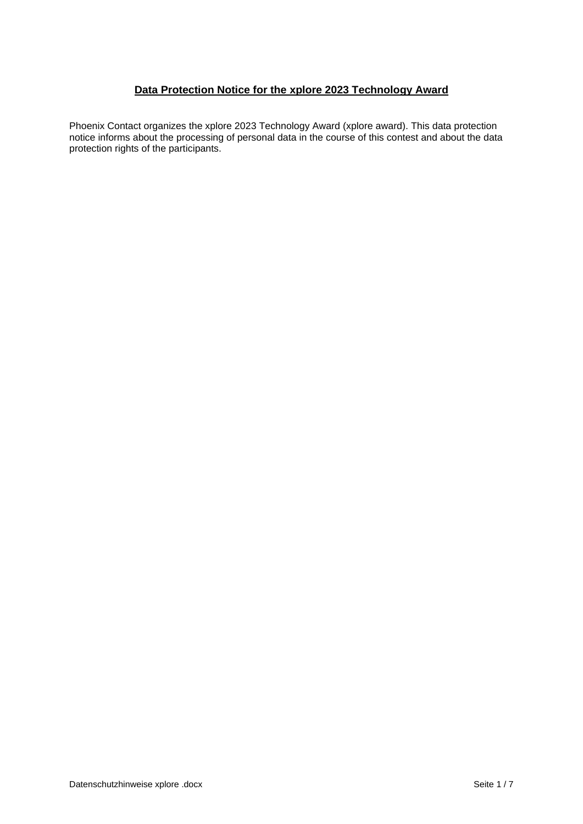## **Data Protection Notice for the xplore 2023 Technology Award**

Phoenix Contact organizes the xplore 2023 Technology Award (xplore award). This data protection notice informs about the processing of personal data in the course of this contest and about the data protection rights of the participants.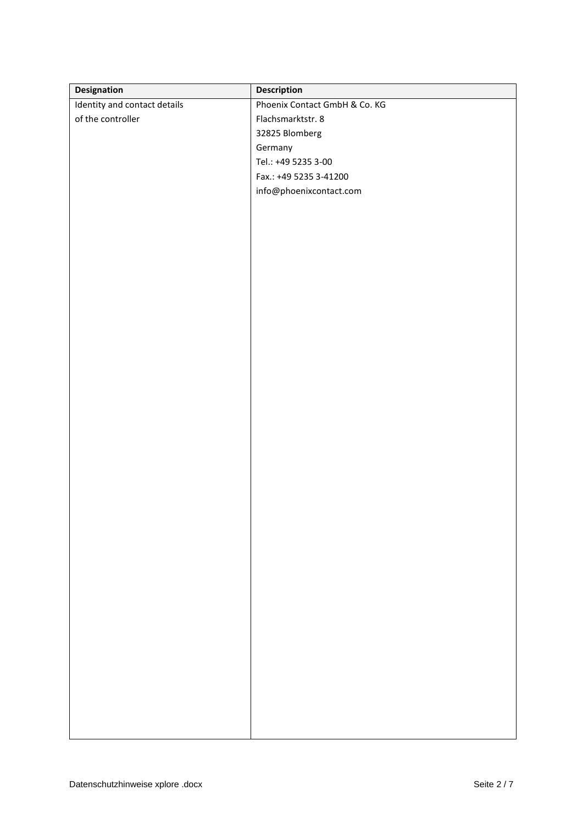| Designation                  | Description                   |
|------------------------------|-------------------------------|
| Identity and contact details | Phoenix Contact GmbH & Co. KG |
| of the controller            | Flachsmarktstr. 8             |
|                              | 32825 Blomberg                |
|                              | Germany                       |
|                              | Tel.: +49 5235 3-00           |
|                              | Fax.: +49 5235 3-41200        |
|                              | info@phoenixcontact.com       |
|                              |                               |
|                              |                               |
|                              |                               |
|                              |                               |
|                              |                               |
|                              |                               |
|                              |                               |
|                              |                               |
|                              |                               |
|                              |                               |
|                              |                               |
|                              |                               |
|                              |                               |
|                              |                               |
|                              |                               |
|                              |                               |
|                              |                               |
|                              |                               |
|                              |                               |
|                              |                               |
|                              |                               |
|                              |                               |
|                              |                               |
|                              |                               |
|                              |                               |
|                              |                               |
|                              |                               |
|                              |                               |
|                              |                               |
|                              |                               |
|                              |                               |
|                              |                               |
|                              |                               |
|                              |                               |
|                              |                               |
|                              |                               |
|                              |                               |
|                              |                               |
|                              |                               |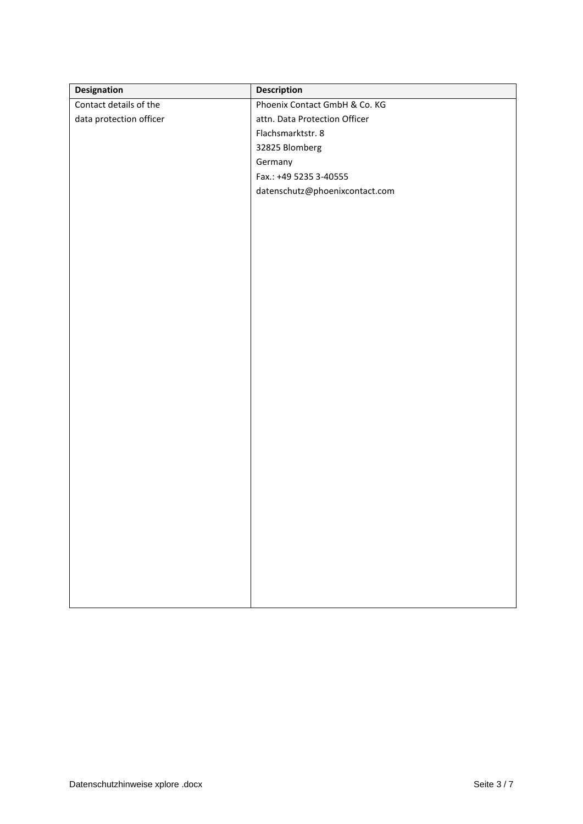| Designation             | <b>Description</b>             |
|-------------------------|--------------------------------|
| Contact details of the  | Phoenix Contact GmbH & Co. KG  |
| data protection officer | attn. Data Protection Officer  |
|                         | Flachsmarktstr. 8              |
|                         | 32825 Blomberg                 |
|                         | Germany                        |
|                         | Fax.: +49 5235 3-40555         |
|                         | datenschutz@phoenixcontact.com |
|                         |                                |
|                         |                                |
|                         |                                |
|                         |                                |
|                         |                                |
|                         |                                |
|                         |                                |
|                         |                                |
|                         |                                |
|                         |                                |
|                         |                                |
|                         |                                |
|                         |                                |
|                         |                                |
|                         |                                |
|                         |                                |
|                         |                                |
|                         |                                |
|                         |                                |
|                         |                                |
|                         |                                |
|                         |                                |
|                         |                                |
|                         |                                |
|                         |                                |
|                         |                                |
|                         |                                |
|                         |                                |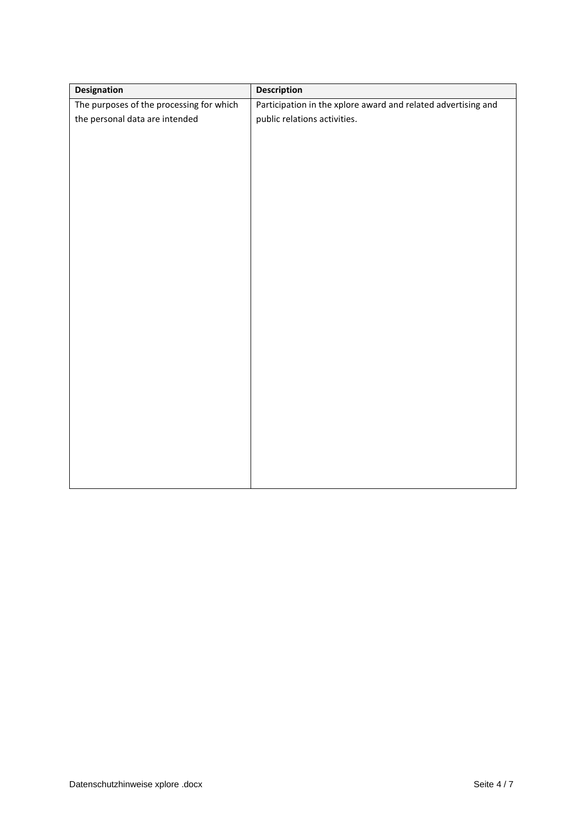| <b>Designation</b>                       | <b>Description</b>                                            |
|------------------------------------------|---------------------------------------------------------------|
| The purposes of the processing for which | Participation in the xplore award and related advertising and |
| the personal data are intended           | public relations activities.                                  |
|                                          |                                                               |
|                                          |                                                               |
|                                          |                                                               |
|                                          |                                                               |
|                                          |                                                               |
|                                          |                                                               |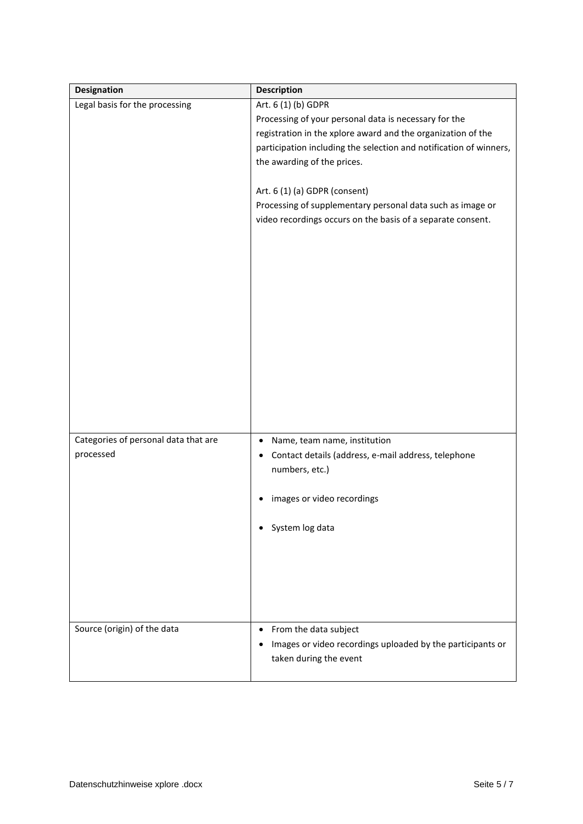| <b>Designation</b>                   | <b>Description</b>                                                 |
|--------------------------------------|--------------------------------------------------------------------|
| Legal basis for the processing       | Art. 6 (1) (b) GDPR                                                |
|                                      | Processing of your personal data is necessary for the              |
|                                      | registration in the xplore award and the organization of the       |
|                                      | participation including the selection and notification of winners, |
|                                      | the awarding of the prices.                                        |
|                                      |                                                                    |
|                                      | Art. 6 (1) (a) GDPR (consent)                                      |
|                                      | Processing of supplementary personal data such as image or         |
|                                      | video recordings occurs on the basis of a separate consent.        |
|                                      |                                                                    |
|                                      |                                                                    |
|                                      |                                                                    |
|                                      |                                                                    |
|                                      |                                                                    |
|                                      |                                                                    |
|                                      |                                                                    |
|                                      |                                                                    |
|                                      |                                                                    |
|                                      |                                                                    |
|                                      |                                                                    |
|                                      |                                                                    |
|                                      |                                                                    |
|                                      |                                                                    |
| Categories of personal data that are | Name, team name, institution                                       |
| processed                            | Contact details (address, e-mail address, telephone                |
|                                      | numbers, etc.)                                                     |
|                                      |                                                                    |
|                                      | images or video recordings                                         |
|                                      |                                                                    |
|                                      | System log data                                                    |
|                                      |                                                                    |
|                                      |                                                                    |
|                                      |                                                                    |
|                                      |                                                                    |
|                                      |                                                                    |
|                                      |                                                                    |
|                                      |                                                                    |
| Source (origin) of the data          | From the data subject<br>$\bullet$                                 |
|                                      | Images or video recordings uploaded by the participants or         |
|                                      | taken during the event                                             |
|                                      |                                                                    |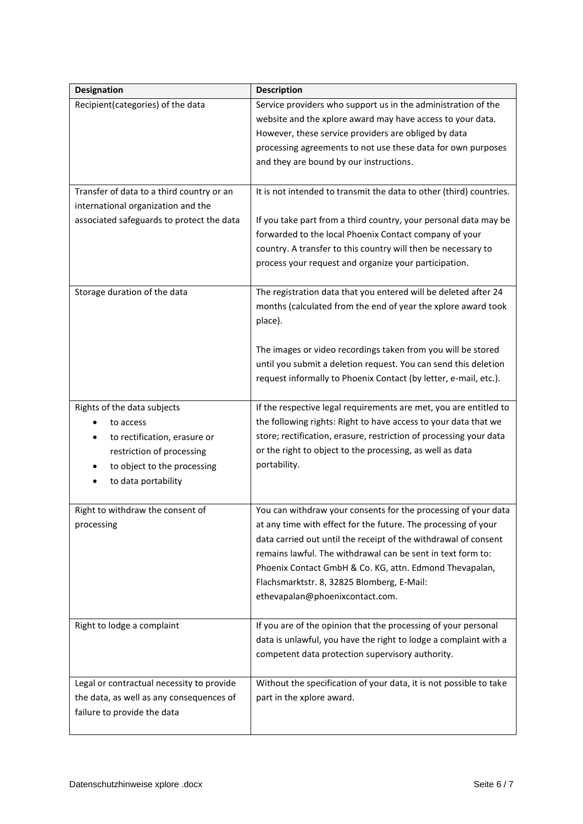| Designation                               | <b>Description</b>                                                  |
|-------------------------------------------|---------------------------------------------------------------------|
| Recipient(categories) of the data         | Service providers who support us in the administration of the       |
|                                           | website and the xplore award may have access to your data.          |
|                                           | However, these service providers are obliged by data                |
|                                           | processing agreements to not use these data for own purposes        |
|                                           | and they are bound by our instructions.                             |
|                                           |                                                                     |
| Transfer of data to a third country or an | It is not intended to transmit the data to other (third) countries. |
| international organization and the        |                                                                     |
| associated safeguards to protect the data | If you take part from a third country, your personal data may be    |
|                                           | forwarded to the local Phoenix Contact company of your              |
|                                           | country. A transfer to this country will then be necessary to       |
|                                           | process your request and organize your participation.               |
| Storage duration of the data              | The registration data that you entered will be deleted after 24     |
|                                           | months (calculated from the end of year the xplore award took       |
|                                           | place).                                                             |
|                                           |                                                                     |
|                                           | The images or video recordings taken from you will be stored        |
|                                           | until you submit a deletion request. You can send this deletion     |
|                                           | request informally to Phoenix Contact (by letter, e-mail, etc.).    |
|                                           |                                                                     |
| Rights of the data subjects               | If the respective legal requirements are met, you are entitled to   |
| to access                                 | the following rights: Right to have access to your data that we     |
| to rectification, erasure or              | store; rectification, erasure, restriction of processing your data  |
| restriction of processing                 | or the right to object to the processing, as well as data           |
| to object to the processing               | portability.                                                        |
| to data portability                       |                                                                     |
| Right to withdraw the consent of          | You can withdraw your consents for the processing of your data      |
| processing                                | at any time with effect for the future. The processing of your      |
|                                           | data carried out until the receipt of the withdrawal of consent     |
|                                           | remains lawful. The withdrawal can be sent in text form to:         |
|                                           | Phoenix Contact GmbH & Co. KG, attn. Edmond Thevapalan,             |
|                                           | Flachsmarktstr. 8, 32825 Blomberg, E-Mail:                          |
|                                           | ethevapalan@phoenixcontact.com.                                     |
|                                           |                                                                     |
| Right to lodge a complaint                | If you are of the opinion that the processing of your personal      |
|                                           | data is unlawful, you have the right to lodge a complaint with a    |
|                                           | competent data protection supervisory authority.                    |
|                                           |                                                                     |
| Legal or contractual necessity to provide | Without the specification of your data, it is not possible to take  |
| the data, as well as any consequences of  | part in the xplore award.                                           |
| failure to provide the data               |                                                                     |
|                                           |                                                                     |